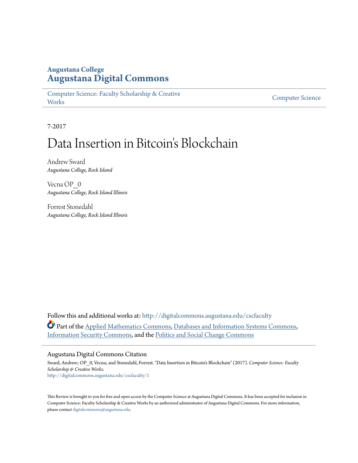# **Augustana College [Augustana Digital Commons](http://digitalcommons.augustana.edu?utm_source=digitalcommons.augustana.edu%2Fcscfaculty%2F1&utm_medium=PDF&utm_campaign=PDFCoverPages)**

[Computer Science: Faculty Scholarship & Creative](http://digitalcommons.augustana.edu/cscfaculty?utm_source=digitalcommons.augustana.edu%2Fcscfaculty%2F1&utm_medium=PDF&utm_campaign=PDFCoverPages) **[Works](http://digitalcommons.augustana.edu/cscfaculty?utm_source=digitalcommons.augustana.edu%2Fcscfaculty%2F1&utm_medium=PDF&utm_campaign=PDFCoverPages)** 

[Computer Science](http://digitalcommons.augustana.edu/computerscience?utm_source=digitalcommons.augustana.edu%2Fcscfaculty%2F1&utm_medium=PDF&utm_campaign=PDFCoverPages)

7-2017

# Data Insertion in Bitcoin's Blockchain

Andrew Sward *Augustana College, Rock Island*

Vecna OP\_0 *Augustana College, Rock Island Illinois*

Forrest Stonedahl *Augustana College, Rock Island Illinois*

Follow this and additional works at: [http://digitalcommons.augustana.edu/cscfaculty](http://digitalcommons.augustana.edu/cscfaculty?utm_source=digitalcommons.augustana.edu%2Fcscfaculty%2F1&utm_medium=PDF&utm_campaign=PDFCoverPages) Part of the [Applied Mathematics Commons](http://network.bepress.com/hgg/discipline/115?utm_source=digitalcommons.augustana.edu%2Fcscfaculty%2F1&utm_medium=PDF&utm_campaign=PDFCoverPages), [Databases and Information Systems Commons,](http://network.bepress.com/hgg/discipline/145?utm_source=digitalcommons.augustana.edu%2Fcscfaculty%2F1&utm_medium=PDF&utm_campaign=PDFCoverPages) [Information Security Commons](http://network.bepress.com/hgg/discipline/1247?utm_source=digitalcommons.augustana.edu%2Fcscfaculty%2F1&utm_medium=PDF&utm_campaign=PDFCoverPages), and the [Politics and Social Change Commons](http://network.bepress.com/hgg/discipline/425?utm_source=digitalcommons.augustana.edu%2Fcscfaculty%2F1&utm_medium=PDF&utm_campaign=PDFCoverPages)

#### Augustana Digital Commons Citation

Sward, Andrew; OP\_0, Vecna; and Stonedahl, Forrest. "Data Insertion in Bitcoin's Blockchain" (2017). *Computer Science: Faculty Scholarship & Creative Works.* [http://digitalcommons.augustana.edu/cscfaculty/1](http://digitalcommons.augustana.edu/cscfaculty/1?utm_source=digitalcommons.augustana.edu%2Fcscfaculty%2F1&utm_medium=PDF&utm_campaign=PDFCoverPages)

This Review is brought to you for free and open access by the Computer Science at Augustana Digital Commons. It has been accepted for inclusion in Computer Science: Faculty Scholarship & Creative Works by an authorized administrator of Augustana Digital Commons. For more information, please contact [digitalcommons@augustana.edu.](mailto:digitalcommons@augustana.edu)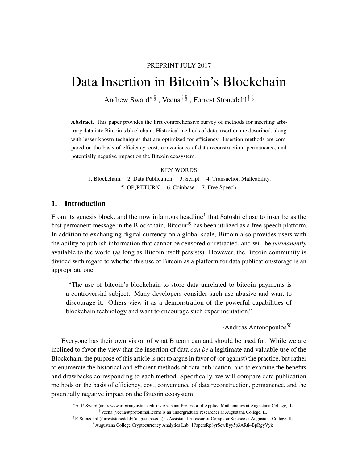# PREPRINT JULY 2017

# Data Insertion in Bitcoin's Blockchain

Andrew Swar[d](#page-1-0)∗ § , Vecna[†](#page-1-1) § , Forrest Stonedahl[‡](#page-1-2) [§](#page-1-3)

Abstract. This paper provides the first comprehensive survey of methods for inserting arbitrary data into Bitcoin's blockchain. Historical methods of data insertion are described, along with lesser-known techniques that are optimized for efficiency. Insertion methods are compared on the basis of efficiency, cost, convenience of data reconstruction, permanence, and potentially negative impact on the Bitcoin ecosystem.

#### KEY WORDS

1. Blockchain. 2. Data Publication. 3. Script. 4. Transaction Malleability. 5. OP RETURN. 6. Coinbase. 7. Free Speech.

# 1. Introduction

From its genesis block, and the now infamous headline<sup>1</sup> that Satoshi chose to inscribe as the first permanent message in the Blockchain, Bitcoin<sup>[49](#page-16-0)</sup> has been utilized as a free speech platform. In addition to exchanging digital currency on a global scale, Bitcoin also provides users with the ability to publish information that cannot be censored or retracted, and will be *permanently* available to the world (as long as Bitcoin itself persists). However, the Bitcoin community is divided with regard to whether this use of Bitcoin as a platform for data publication/storage is an appropriate one:

"The use of bitcoin's blockchain to store data unrelated to bitcoin payments is a controversial subject. Many developers consider such use abusive and want to discourage it. Others view it as a demonstration of the powerful capabilities of blockchain technology and want to encourage such experimentation."

 $-$ Andreas Antonopoulos<sup>[50](#page-16-1)</sup>

Everyone has their own vision of what Bitcoin can and should be used for. While we are inclined to favor the view that the insertion of data *can be* a legitimate and valuable use of the Blockchain, the purpose of this article is not to argue in favor of (or against) the practice, but rather to enumerate the historical and efficient methods of data publication, and to examine the benefits and drawbacks corresponding to each method. Specifically, we will compare data publication methods on the basis of efficiency, cost, convenience of data reconstruction, permanence, and the potentially negative impact on the Bitcoin ecosystem.

<span id="page-1-1"></span><span id="page-1-0"></span><sup>∗</sup>A. P. Sward (andrewsward@augustana.edu) is Assistant Professor of Applied Mathematics at Augustana College, IL †Vecna (vecna@protonmail.com) is an undergraduate researcher at Augustana College, IL

<span id="page-1-3"></span><span id="page-1-2"></span><sup>‡</sup>F. Stonedahl (forreststonedahl@augustana.edu) is Assistant Professor of Computer Science at Augustana College, IL §Augustana College Cryptocurrency Analytics Lab: 1PapersRp8yrScwByy5p3ARti4BpRgyVyk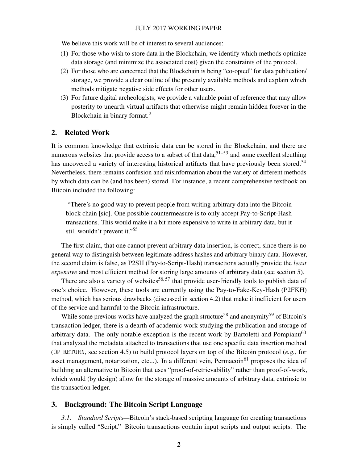We believe this work will be of interest to several audiences:

- (1) For those who wish to store data in the Blockchain, we identify which methods optimize data storage (and minimize the associated cost) given the constraints of the protocol.
- (2) For those who are concerned that the Blockchain is being "co-opted" for data publication/ storage, we provide a clear outline of the presently available methods and explain which methods mitigate negative side effects for other users.
- (3) For future digital archeologists, we provide a valuable point of reference that may allow posterity to unearth virtual artifacts that otherwise might remain hidden forever in the Blockchain in binary format.<sup>2</sup>

## 2. Related Work

It is common knowledge that extrinsic data can be stored in the Blockchain, and there are numerous websites that provide access to a subset of that data,  $51-53$  $51-53$  and some excellent sleuthing has uncovered a variety of interesting historical artifacts that have previously been stored.<sup>[54](#page-16-4)</sup> Nevertheless, there remains confusion and misinformation about the variety of different methods by which data can be (and has been) stored. For instance, a recent comprehensive textbook on Bitcoin included the following:

"There's no good way to prevent people from writing arbitrary data into the Bitcoin block chain [sic]. One possible countermeasure is to only accept Pay-to-Script-Hash transactions. This would make it a bit more expensive to write in arbitrary data, but it still wouldn't prevent it."<sup>[55](#page-16-5)</sup>

The first claim, that one cannot prevent arbitrary data insertion, is correct, since there is no general way to distinguish between legitimate address hashes and arbitrary binary data. However, the second claim is false, as P2SH (Pay-to-Script-Hash) transactions actually provide the *least expensive* and most efficient method for storing large amounts of arbitrary data (see section [5\)](#page-6-0).

There are also a variety of websites<sup>[56,](#page-16-6)57</sup> that provide user-friendly tools to publish data of one's choice. However, these tools are currently using the Pay-to-Fake-Key-Hash (P2FKH) method, which has serious drawbacks (discussed in section [4.2\)](#page-3-0) that make it inefficient for users of the service and harmful to the Bitcoin infrastructure.

While some previous works have analyzed the graph structure<sup>[58](#page-16-8)</sup> and anonymity<sup>[59](#page-16-9)</sup> of Bitcoin's transaction ledger, there is a dearth of academic work studying the publication and storage of arbitrary data. The only notable exception is the recent work by Bartoletti and Pompianu<sup>[60](#page-16-10)</sup> that analyzed the metadata attached to transactions that use one specific data insertion method (OP RETURN, see section [4.5\)](#page-5-0) to build protocol layers on top of the Bitcoin protocol (*e.g.*, for asset management, notarization, etc...). In a different vein, Permacoin<sup>[61](#page-17-0)</sup> proposes the idea of building an alternative to Bitcoin that uses "proof-of-retrievability" rather than proof-of-work, which would (by design) allow for the storage of massive amounts of arbitrary data, extrinsic to the transaction ledger.

# 3. Background: The Bitcoin Script Language

*3.1. Standard Scripts—*Bitcoin's stack-based scripting language for creating transactions is simply called "Script." Bitcoin transactions contain input scripts and output scripts. The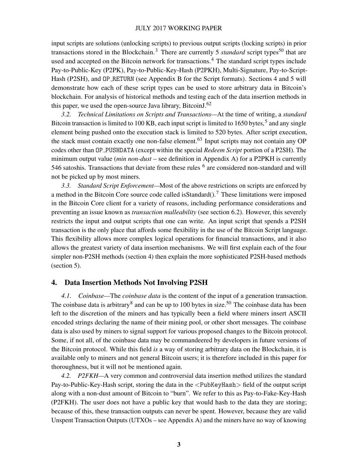input scripts are solutions (unlocking scripts) to previous output scripts (locking scripts) in prior transactions stored in the Blockchain.<sup>3</sup> There are currently 5 *standard* script types<sup>[50](#page-16-1)</sup> that are used and accepted on the Bitcoin network for transactions.<sup>4</sup> The standard script types include Pay-to-Public-Key (P2PK), Pay-to-Public-Key-Hash (P2PKH), Multi-Signature, Pay-to-Script-Hash (P2SH), and OP\_RETURN (see Appendix B for the Script formats). Sections [4](#page-3-1) and [5](#page-6-0) will demonstrate how each of these script types can be used to store arbitrary data in Bitcoin's blockchain. For analysis of historical methods and testing each of the data insertion methods in this paper, we used the open-source Java library, Bitcoin  $5^{62}$  $5^{62}$  $5^{62}$ 

<span id="page-3-2"></span>*3.2. Technical Limitations on Scripts and Transactions—*At the time of writing, a *standard* Bitcoin transaction is limited to 100 KB, each input script is limited to 1650 bytes,<sup>5</sup> and any single element being pushed onto the execution stack is limited to 520 bytes. After script execution, the stack must contain exactly one non-false element.<sup>[63](#page-17-2)</sup> Input scripts may not contain any OP codes other than OP PUSHDATA (except within the special *Redeem Script* portion of a P2SH). The minimum output value (*min non-dust* – see definition in Appendix A) for a P2PKH is currently 546 satoshis. Transactions that deviate from these rules <sup>6</sup> are considered non-standard and will not be picked up by most miners.

*3.3. Standard Script Enforcement—*Most of the above restrictions on scripts are enforced by a method in the Bitcoin Core source code called is Standard $($ ).<sup>7</sup> These limitations were imposed in the Bitcoin Core client for a variety of reasons, including performance considerations and preventing an issue known as *transaction malleability* (see section [6.2\)](#page-8-0). However, this severely restricts the input and output scripts that one can write. An input script that spends a P2SH transaction is the only place that affords some flexibility in the use of the Bitcoin Script language. This flexibility allows more complex logical operations for financial transactions, and it also allows the greatest variety of data insertion mechanisms. We will first explain each of the four simpler non-P2SH methods (section [4\)](#page-3-1) then explain the more sophisticated P2SH-based methods (section [5\)](#page-6-0).

#### <span id="page-3-1"></span>4. Data Insertion Methods Not Involving P2SH

*4.1. Coinbase—*The *coinbase data* is the content of the input of a generation transaction. The coinbase data is arbitrary<sup>8</sup> and can be up to 100 bytes in size.<sup>[50](#page-16-1)</sup> The coinbase data has been left to the discretion of the miners and has typically been a field where miners insert ASCII encoded strings declaring the name of their mining pool, or other short messages. The coinbase data is also used by miners to signal support for various proposed changes to the Bitcoin protocol. Some, if not all, of the coinbase data may be commandeered by developers in future versions of the Bitcoin protocol. While this field *is* a way of storing arbitrary data on the Blockchain, it is available only to miners and not general Bitcoin users; it is therefore included in this paper for thoroughness, but it will not be mentioned again.

<span id="page-3-0"></span>*4.2. P2FKH—*A very common and controversial data insertion method utilizes the standard Pay-to-Public-Key-Hash script, storing the data in the <PubKeyHash> field of the output script along with a non-dust amount of Bitcoin to "burn". We refer to this as Pay-to-Fake-Key-Hash (P2FKH). The user does not have a public key that would hash to the data they are storing; because of this, these transaction outputs can never be spent. However, because they are valid Unspent Transaction Outputs (UTXOs – see Appendix A) and the miners have no way of knowing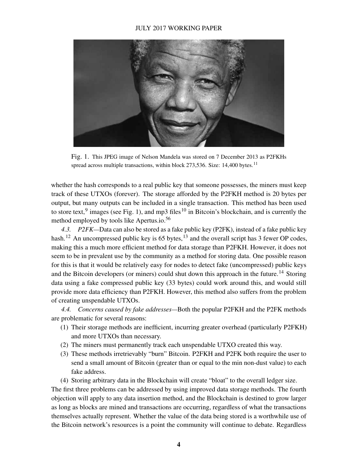

Fig. 1. This JPEG image of Nelson Mandela was stored on 7 December 2013 as P2FKHs spread across multiple transactions, within block  $273,536$ . Size: 14,400 bytes.<sup>11</sup>

<span id="page-4-0"></span>whether the hash corresponds to a real public key that someone possesses, the miners must keep track of these UTXOs (forever). The storage afforded by the P2FKH method is 20 bytes per output, but many outputs can be included in a single transaction. This method has been used to store text,  $9$  images (see Fig. [1\)](#page-4-0), and mp3 files<sup>10</sup> in Bitcoin's blockchain, and is currently the method employed by tools like Apertus.io.[56](#page-16-6)

*4.3. P2FK—*Data can also be stored as a fake public key (P2FK), instead of a fake public key hash.<sup>12</sup> An uncompressed public key is 65 bytes,<sup>13</sup> and the overall script has 3 fewer OP codes, making this a much more efficient method for data storage than P2FKH. However, it does not seem to be in prevalent use by the community as a method for storing data. One possible reason for this is that it would be relatively easy for nodes to detect fake (uncompressed) public keys and the Bitcoin developers (or miners) could shut down this approach in the future.<sup>14</sup> Storing data using a fake compressed public key (33 bytes) could work around this, and would still provide more data efficiency than P2FKH. However, this method also suffers from the problem of creating unspendable UTXOs.

<span id="page-4-1"></span>*4.4. Concerns caused by fake addresses—*Both the popular P2FKH and the P2FK methods are problematic for several reasons:

- (1) Their storage methods are inefficient, incurring greater overhead (particularly P2FKH) and more UTXOs than necessary.
- (2) The miners must permanently track each unspendable UTXO created this way.
- (3) These methods irretrievably "burn" Bitcoin. P2FKH and P2FK both require the user to send a small amount of Bitcoin (greater than or equal to the min non-dust value) to each fake address.

(4) Storing arbitrary data in the Blockchain will create "bloat" to the overall ledger size.

The first three problems can be addressed by using improved data storage methods. The fourth objection will apply to any data insertion method, and the Blockchain is destined to grow larger as long as blocks are mined and transactions are occurring, regardless of what the transactions themselves actually represent. Whether the value of the data being stored is a worthwhile use of the Bitcoin network's resources is a point the community will continue to debate. Regardless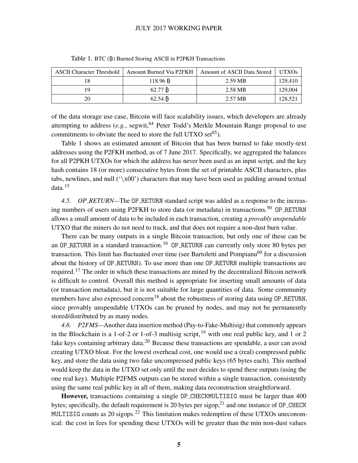| <b>ASCII Character Threshold</b> | Amount Burned Via P2FKH | Amount of ASCII Data Stored | <b>UTXOs</b> |
|----------------------------------|-------------------------|-----------------------------|--------------|
| 18                               | 118.96 B                | 2.59 MB                     | 129,410      |
| 19                               | 62.77 B                 | 2.58 MB                     | 129,004      |
| 20                               | 62.54 B                 | 2.57 MB                     | 128,521      |

<span id="page-5-1"></span>Table 1. BTC (B) Burned Storing ASCII in P2PKH Transactions

of the data storage use case, Bitcoin will face scalability issues, which developers are already attempting to address  $(e.g.,$  segwit,<sup>[64](#page-17-3)</sup> Peter Todd's Merkle Mountain Range proposal to use commitments to obviate the need to store the full UTXO set<sup>[65](#page-17-4)</sup>).

Table [1](#page-5-1) shows an estimated amount of Bitcoin that has been burned to fake mostly-text addresses using the P2FKH method, as of 7 June 2017. Specifically, we aggregated the balances for all P2PKH UTXOs for which the address has never been used as an input script, and the key hash contains 18 (or more) consecutive bytes from the set of printable ASCII characters, plus tabs, newlines, and null  $(\lambda x)$ <sup>t</sup>) characters that may have been used as padding around textual data.<sup>15</sup>

<span id="page-5-0"></span>*4.5. OP RETURN—*The OP RETURN standard script was added as a response to the increas-ing numbers of users using P2FKH to store data (or metadata) in transactions.<sup>[50](#page-16-1)</sup> OP RETURN allows a small amount of data to be included in each transaction, creating a *provably unspendable* UTXO that the miners do not need to track, and that does not require a non-dust burn value.

There can be many outputs in a single Bitcoin transaction, but only one of these can be an OP\_RETURN in a standard transaction.<sup>16</sup> OP\_RETURN can currently only store 80 bytes per transaction. This limit has fluctuated over time (see Bartoletti and Pompianu<sup>[60](#page-16-10)</sup> for a discussion about the history of OP RETURN). To use more than one OP RETURN multiple transactions are required.<sup>17</sup> The order in which these transactions are mined by the decentralized Bitcoin network is difficult to control. Overall this method is appropriate for inserting small amounts of data (or transaction metadata), but it is not suitable for large quantities of data. Some community members have also expressed concern<sup>18</sup> about the robustness of storing data using OP\_RETURN, since provably unspendable UTXOs can be pruned by nodes, and may not be permanently stored/distributed by as many nodes.

*4.6. P2FMS—*Another data insertion method (Pay-to-Fake-Multisig) that commonly appears in the Blockchain is a 1-of-2 or 1-of-3 multisig script,  $19$  with one real public key, and 1 or 2 fake keys containing arbitrary data.<sup>20</sup> Because these transactions are spendable, a user can avoid creating UTXO bloat. For the lowest overhead cost, one would use a (real) compressed public key, and store the data using two fake uncompressed public keys (65 bytes each). This method would keep the data in the UTXO set only until the user decides to spend these outputs (using the one real key). Multiple P2FMS outputs can be stored within a single transaction, consistently using the same real public key in all of them, making data reconstruction straightforward.

However, transactions containing a single OP CHECKMULTISIG must be larger than 400 bytes; specifically, the default requirement is 20 bytes per sigop,  $21$  and one instance of OP\_CHECK MULTISIG counts as 20 sigops.<sup>22</sup> This limitation makes redemption of these UTXOs uneconomical: the cost in fees for spending these UTXOs will be greater than the min non-dust values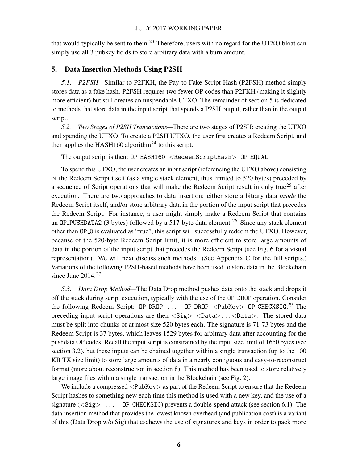that would typically be sent to them.<sup>23</sup> Therefore, users with no regard for the UTXO bloat can simply use all 3 pubkey fields to store arbitrary data with a burn amount.

# <span id="page-6-0"></span>5. Data Insertion Methods Using P2SH

*5.1. P2FSH—*Similar to P2FKH, the Pay-to-Fake-Script-Hash (P2FSH) method simply stores data as a fake hash. P2FSH requires two fewer OP codes than P2FKH (making it slightly more efficient) but still creates an unspendable UTXO. The remainder of section [5](#page-6-0) is dedicated to methods that store data in the input script that spends a P2SH output, rather than in the output script.

*5.2. Two Stages of P2SH Transactions—*There are two stages of P2SH: creating the UTXO and spending the UTXO. To create a P2SH UTXO, the user first creates a Redeem Script, and then applies the HASH160 algorithm<sup>24</sup> to this script.

The output script is then: OP\_HASH160 <RedeemScriptHash> OP\_EQUAL

To spend this UTXO, the user creates an input script (referencing the UTXO above) consisting of the Redeem Script itself (as a single stack element, thus limited to 520 bytes) preceded by a sequence of Script operations that will make the Redeem Script result in only true<sup>25</sup> after execution. There are two approaches to data insertion: either store arbitrary data *inside* the Redeem Script itself, and/or store arbitrary data in the portion of the input script that precedes the Redeem Script. For instance, a user might simply make a Redeem Script that contains an OP\_PUSHDATA2 (3 bytes) followed by a 517-byte data element.<sup>26</sup> Since any stack element other than OP<sub>-</sub>O is evaluated as "true", this script will successfully redeem the UTXO. However, because of the 520-byte Redeem Script limit, it is more efficient to store large amounts of data in the portion of the input script that precedes the Redeem Script (see Fig. [6](#page-12-0) for a visual representation). We will next discuss such methods. (See Appendix C for the full scripts.) Variations of the following P2SH-based methods have been used to store data in the Blockchain since June  $2014.<sup>27</sup>$ 

*5.3. Data Drop Method—*The Data Drop method pushes data onto the stack and drops it off the stack during script execution, typically with the use of the OP DROP operation. Consider the following Redeem Script:  $OP\_DROP$  ...  $OP\_DROP$  <PubKey>  $OP\_CHECKSIG.^{29}$  The preceding input script operations are then  $\langle Sig \rangle$   $\langle Data \rangle$ ... $\langle Data \rangle$ . The stored data must be split into chunks of at most size 520 bytes each. The signature is 71-73 bytes and the Redeem Script is 37 bytes, which leaves 1529 bytes for arbitrary data after accounting for the pushdata OP codes. Recall the input script is constrained by the input size limit of 1650 bytes (see section [3.2\)](#page-3-2), but these inputs can be chained together within a single transaction (up to the 100 KB TX size limit) to store large amounts of data in a nearly contiguous and easy-to-reconstruct format (more about reconstruction in section [8\)](#page-10-0). This method has been used to store relatively large image files within a single transaction in the Blockchain (see Fig. [2\)](#page-7-0).

We include a compressed  $\langle \text{PubKey} \rangle$  as part of the Redeem Script to ensure that the Redeem Script hashes to something new each time this method is used with a new key, and the use of a signature  $(<$ Sig $>$  ... OP\_CHECKSIG) prevents a double-spend attack (see section [6.1\)](#page-7-1). The data insertion method that provides the lowest known overhead (and publication cost) is a variant of this (Data Drop w/o Sig) that eschews the use of signatures and keys in order to pack more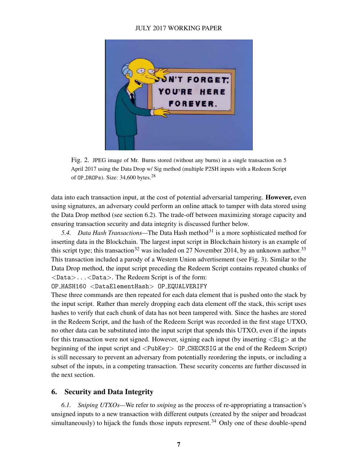

Fig. 2. JPEG image of Mr. Burns stored (without any burns) in a single transaction on 5 April 2017 using the Data Drop w/ Sig method (multiple P2SH inputs with a Redeem Script of  $OP\_DROPs$ ). Size: 34,600 bytes.<sup>28</sup>

<span id="page-7-0"></span>data into each transaction input, at the cost of potential adversarial tampering. However, even using signatures, an adversary could perform an online attack to tamper with data stored using the Data Drop method (see section [6.2\)](#page-8-0). The trade-off between maximizing storage capacity and ensuring transaction security and data integrity is discussed further below.

*5.4. Data Hash Transactions*—The Data Hash method<sup>31</sup> is a more sophisticated method for inserting data in the Blockchain. The largest input script in Blockchain history is an example of this script type; this transaction<sup>32</sup> was included on 27 November 2014, by an unknown author.<sup>33</sup> This transaction included a parody of a Western Union advertisement (see Fig. [3\)](#page-8-1). Similar to the Data Drop method, the input script preceding the Redeem Script contains repeated chunks of <Data>...<Data>. The Redeem Script is of the form:

OP HASH160 <DataElementHash> OP EQUALVERIFY

These three commands are then repeated for each data element that is pushed onto the stack by the input script. Rather than merely dropping each data element off the stack, this script uses hashes to verify that each chunk of data has not been tampered with. Since the hashes are stored in the Redeem Script, and the hash of the Redeem Script was recorded in the first stage UTXO, no other data can be substituted into the input script that spends this UTXO, even if the inputs for this transaction were not signed. However, signing each input (by inserting  $\langle Sig \rangle$  at the beginning of the input script and <PubKey> OP CHECKSIG at the end of the Redeem Script) is still necessary to prevent an adversary from potentially reordering the inputs, or including a subset of the inputs, in a competing transaction. These security concerns are further discussed in the next section.

# 6. Security and Data Integrity

<span id="page-7-1"></span>*6.1. Sniping UTXOs—*We refer to *sniping* as the process of re-appropriating a transaction's unsigned inputs to a new transaction with different outputs (created by the sniper and broadcast simultaneously) to hijack the funds those inputs represent.<sup>34</sup> Only one of these double-spend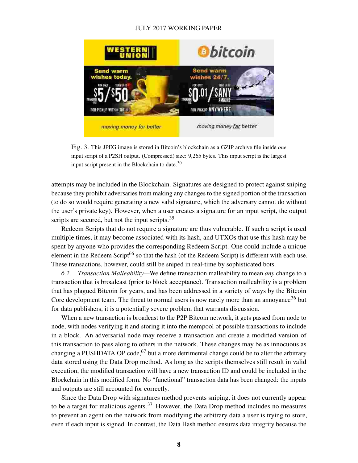

<span id="page-8-1"></span>

attempts may be included in the Blockchain. Signatures are designed to protect against sniping because they prohibit adversaries from making any changes to the signed portion of the transaction (to do so would require generating a new valid signature, which the adversary cannot do without the user's private key). However, when a user creates a signature for an input script, the output scripts are secured, but not the input scripts.<sup>35</sup>

Redeem Scripts that do not require a signature are thus vulnerable. If such a script is used multiple times, it may become associated with its hash, and UTXOs that use this hash may be spent by anyone who provides the corresponding Redeem Script. One could include a unique element in the Redeem Script<sup>[66](#page-17-5)</sup> so that the hash (of the Redeem Script) is different with each use. These transactions, however, could still be sniped in real-time by sophisticated bots.

<span id="page-8-0"></span>*6.2. Transaction Malleability—*We define transaction malleability to mean *any* change to a transaction that is broadcast (prior to block acceptance). Transaction malleability is a problem that has plagued Bitcoin for years, and has been addressed in a variety of ways by the Bitcoin Core development team. The threat to normal users is now rarely more than an annoyance<sup>36</sup> but for data publishers, it is a potentially severe problem that warrants discussion.

When a new transaction is broadcast to the P2P Bitcoin network, it gets passed from node to node, with nodes verifying it and storing it into the mempool of possible transactions to include in a block. An adversarial node may receive a transaction and create a modified version of this transaction to pass along to others in the network. These changes may be as innocuous as changing a PUSHDATA OP code,  $67$  but a more detrimental change could be to alter the arbitrary data stored using the Data Drop method. As long as the scripts themselves still result in valid execution, the modified transaction will have a new transaction ID and could be included in the Blockchain in this modified form. No "functional" transaction data has been changed: the inputs and outputs are still accounted for correctly.

Since the Data Drop with signatures method prevents sniping, it does not currently appear to be a target for malicious agents.<sup>37</sup> However, the Data Drop method includes no measures to prevent an agent on the network from modifying the arbitrary data a user is trying to store, even if each input is signed. In contrast, the Data Hash method ensures data integrity because the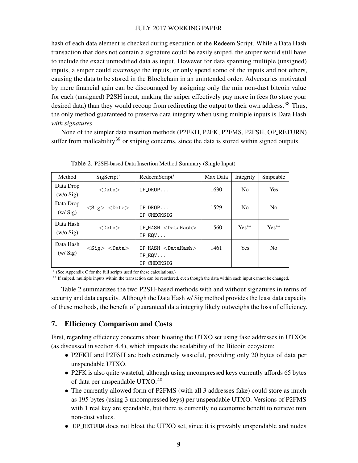hash of each data element is checked during execution of the Redeem Script. While a Data Hash transaction that does not contain a signature could be easily sniped, the sniper would still have to include the exact unmodified data as input. However for data spanning multiple (unsigned) inputs, a sniper could *rearrange* the inputs, or only spend some of the inputs and not others, causing the data to be stored in the Blockchain in an unintended order. Adversaries motivated by mere financial gain can be discouraged by assigning only the min non-dust bitcoin value for each (unsigned) P2SH input, making the sniper effectively pay more in fees (to store your desired data) than they would recoup from redirecting the output to their own address.<sup>38</sup> Thus, the only method guaranteed to preserve data integrity when using multiple inputs is Data Hash *with signatures*.

None of the simpler data insertion methods (P2FKH, P2FK, P2FMS, P2FSH, OP RETURN) suffer from malleability<sup>39</sup> or sniping concerns, since the data is stored within signed outputs.

| Method                   | $SigScript^*$               | RedeemScript*                                                | Max Data | Integrity      | Snipeable      |
|--------------------------|-----------------------------|--------------------------------------------------------------|----------|----------------|----------------|
| Data Drop<br>$(w/o$ Sig) | $<$ Data $>$                | $OP\_{DROP}$                                                 | 1630     | N <sub>0</sub> | <b>Yes</b>     |
| Data Drop<br>(w/Sig)     | $<$ Sig> $<$ Data>          | $OP\_DROP$<br>OP_CHECKSIG                                    | 1529     | N <sub>0</sub> | N <sub>0</sub> |
| Data Hash<br>$(w/o$ Sig) | $<$ Data $>$                | $OP$ HASH $<$ DataHash $>$<br>$OP_EQV \ldots$                | 1560     | $Yes**$        | $Yes**$        |
| Data Hash<br>(w/Sig)     | $<$ Sig $>$<br>$<$ Data $>$ | $OP$ HASH $<$ DataHash $>$<br>$OP_EQV \ldots$<br>OP_CHECKSIG | 1461     | <b>Yes</b>     | N <sub>0</sub> |

<span id="page-9-0"></span>Table 2. P2SH-based Data Insertion Method Summary (Single Input)

∗ (See Appendix C for the full scripts used for these calculations.)

∗∗ If sniped, multiple inputs within the transaction can be reordered, even though the data within each input cannot be changed.

Table [2](#page-9-0) summarizes the two P2SH-based methods with and without signatures in terms of security and data capacity. Although the Data Hash w/ Sig method provides the least data capacity of these methods, the benefit of guaranteed data integrity likely outweighs the loss of efficiency.

# 7. Efficiency Comparison and Costs

First, regarding efficiency concerns about bloating the UTXO set using fake addresses in UTXOs (as discussed in section [4.4\)](#page-4-1), which impacts the scalability of the Bitcoin ecoystem:

- P2FKH and P2FSH are both extremely wasteful, providing only 20 bytes of data per unspendable UTXO.
- P2FK is also quite wasteful, although using uncompressed keys currently affords 65 bytes of data per unspendable UTXO.<sup>40</sup>
- The currently allowed form of P2FMS (with all 3 addresses fake) could store as much as 195 bytes (using 3 uncompressed keys) per unspendable UTXO. Versions of P2FMS with 1 real key are spendable, but there is currently no economic benefit to retrieve min non-dust values.
- OP RETURN does not bloat the UTXO set, since it is provably unspendable and nodes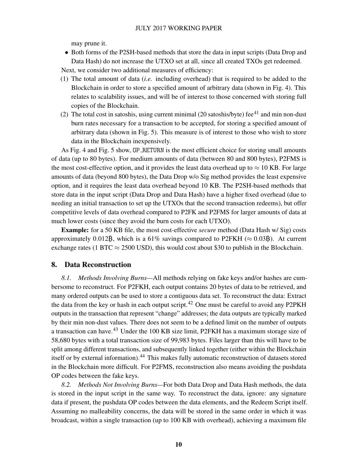may prune it.

• Both forms of the P2SH-based methods that store the data in input scripts (Data Drop and Data Hash) do not increase the UTXO set at all, since all created TXOs get redeemed.

Next, we consider two additional measures of efficiency:

- (1) The total amount of data (*i.e.* including overhead) that is required to be added to the Blockchain in order to store a specified amount of arbitrary data (shown in Fig. [4\)](#page-11-0). This relates to scalability issues, and will be of interest to those concerned with storing full copies of the Blockchain.
- (2) The total cost in satoshis, using current minimal (20 satoshis/byte) fee $^{41}$  and min non-dust burn rates necessary for a transaction to be accepted, for storing a specified amount of arbitrary data (shown in Fig. [5\)](#page-11-1). This measure is of interest to those who wish to store data in the Blockchain inexpensively.

As Fig. [4](#page-11-0) and Fig. [5](#page-11-1) show, OP RETURN is the most efficient choice for storing small amounts of data (up to 80 bytes). For medium amounts of data (between 80 and 800 bytes), P2FMS is the most cost-effective option, and it provides the least data overhead up to  $\approx$  10 KB. For large amounts of data (beyond 800 bytes), the Data Drop w/o Sig method provides the least expensive option, and it requires the least data overhead beyond 10 KB. The P2SH-based methods that store data in the input script (Data Drop and Data Hash) have a higher fixed overhead (due to needing an initial transaction to set up the UTXOs that the second transaction redeems), but offer competitive levels of data overhead compared to P2FK and P2FMS for larger amounts of data at much lower costs (since they avoid the burn costs for each UTXO).

Example: for a 50 KB file, the most cost-effective *secure* method (Data Hash w/ Sig) costs approximately 0.012B, which is a 61% savings compared to P2FKH ( $\approx$  0.03B). At current exchange rates (1 BTC  $\approx$  2500 USD), this would cost about \$30 to publish in the Blockchain.

#### <span id="page-10-0"></span>8. Data Reconstruction

*8.1. Methods Involving Burns—*All methods relying on fake keys and/or hashes are cumbersome to reconstruct. For P2FKH, each output contains 20 bytes of data to be retrieved, and many ordered outputs can be used to store a contiguous data set. To reconstruct the data: Extract the data from the key or hash in each output script.<sup>42</sup> One must be careful to avoid any P2PKH outputs in the transaction that represent "change" addresses; the data outputs are typically marked by their min non-dust values. There does not seem to be a defined limit on the number of outputs a transaction can have.<sup>43</sup> Under the 100 KB size limit, P2FKH has a maximum storage size of 58,680 bytes with a total transaction size of 99,983 bytes. Files larger than this will have to be split among different transactions, and subsequently linked together (either within the Blockchain itself or by external information).<sup>44</sup> This makes fully automatic reconstruction of datasets stored in the Blockchain more difficult. For P2FMS, reconstruction also means avoiding the pushdata OP codes between the fake keys.

*8.2. Methods Not Involving Burns—*For both Data Drop and Data Hash methods, the data is stored in the input script in the same way. To reconstruct the data, ignore: any signature data if present, the pushdata OP codes between the data elements, and the Redeem Script itself. Assuming no malleability concerns, the data will be stored in the same order in which it was broadcast, within a single transaction (up to 100 KB with overhead), achieving a maximum file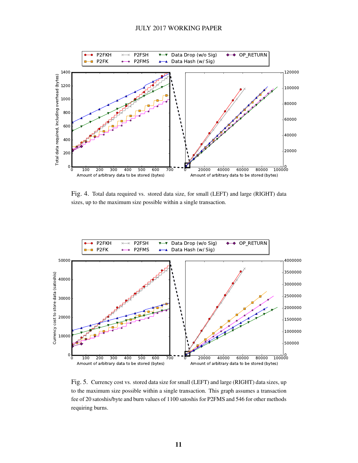

<span id="page-11-0"></span>Fig. 4. Total data required vs. stored data size, for small (LEFT) and large (RIGHT) data sizes, up to the maximum size possible within a single transaction.



<span id="page-11-1"></span>Fig. 5. Currency cost vs. stored data size for small (LEFT) and large (RIGHT) data sizes, up to the maximum size possible within a single transaction. This graph assumes a transaction fee of 20 satoshis/byte and burn values of 1100 satoshis for P2FMS and 546 for other methods requiring burns.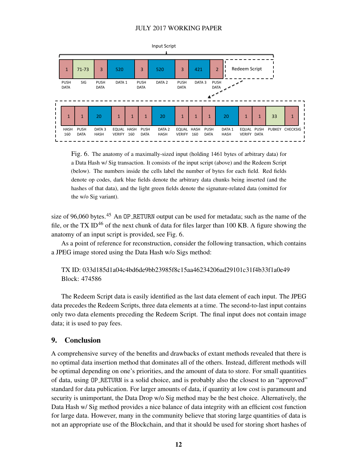

<span id="page-12-0"></span>Fig. 6. The anatomy of a maximally-sized input (holding 1461 bytes of arbitrary data) for a Data Hash w/ Sig transaction. It consists of the input script (above) and the Redeem Script (below). The numbers inside the cells label the number of bytes for each field. Red fields denote op codes, dark blue fields denote the arbitrary data chunks being inserted (and the hashes of that data), and the light green fields denote the signature-related data (omitted for the w/o Sig variant).

size of 96,060 bytes.<sup>45</sup> An OP\_RETURN output can be used for metadata; such as the name of the file, or the TX ID<sup>46</sup> of the next chunk of data for files larger than 100 KB. A figure showing the anatomy of an input script is provided, see Fig. [6.](#page-12-0)

As a point of reference for reconstruction, consider the following transaction, which contains a JPEG image stored using the Data Hash w/o Sigs method:

TX ID: 033d185d1a04c4bd6de9bb23985f8c15aa46234206ad29101c31f4b33f1a0e49 Block: 474586

The Redeem Script data is easily identified as the last data element of each input. The JPEG data precedes the Redeem Scripts, three data elements at a time. The second-to-last input contains only two data elements preceding the Redeem Script. The final input does not contain image data; it is used to pay fees.

#### 9. Conclusion

A comprehensive survey of the benefits and drawbacks of extant methods revealed that there is no optimal data insertion method that dominates all of the others. Instead, different methods will be optimal depending on one's priorities, and the amount of data to store. For small quantities of data, using OP RETURN is a solid choice, and is probably also the closest to an "approved" standard for data publication. For larger amounts of data, if quantity at low cost is paramount and security is unimportant, the Data Drop w/o Sig method may be the best choice. Alternatively, the Data Hash w/ Sig method provides a nice balance of data integrity with an efficient cost function for large data. However, many in the community believe that storing large quantities of data is not an appropriate use of the Blockchain, and that it should be used for storing short hashes of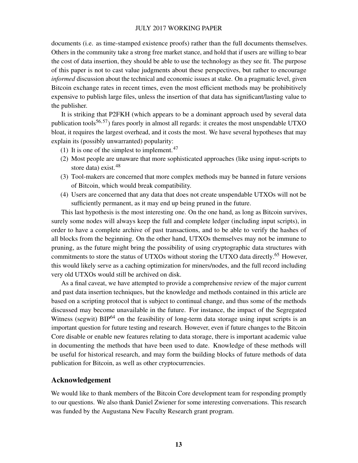documents (i.e. as time-stamped existence proofs) rather than the full documents themselves. Others in the community take a strong free market stance, and hold that if users are willing to bear the cost of data insertion, they should be able to use the technology as they see fit. The purpose of this paper is not to cast value judgments about these perspectives, but rather to encourage *informed* discussion about the technical and economic issues at stake. On a pragmatic level, given Bitcoin exchange rates in recent times, even the most efficient methods may be prohibitively expensive to publish large files, unless the insertion of that data has significant/lasting value to the publisher.

It is striking that P2FKH (which appears to be a dominant approach used by several data publication tools<sup>[56,](#page-16-6) [57](#page-16-7)</sup>) fares poorly in almost all regards: it creates the most unspendable UTXO bloat, it requires the largest overhead, and it costs the most. We have several hypotheses that may explain its (possibly unwarranted) popularity:

- (1) It is one of the simplest to implement. $47$
- (2) Most people are unaware that more sophisticated approaches (like using input-scripts to store data) exist.<sup>48</sup>
- (3) Tool-makers are concerned that more complex methods may be banned in future versions of Bitcoin, which would break compatibility.
- (4) Users are concerned that any data that does not create unspendable UTXOs will not be sufficiently permanent, as it may end up being pruned in the future.

This last hypothesis is the most interesting one. On the one hand, as long as Bitcoin survives, surely some nodes will always keep the full and complete ledger (including input scripts), in order to have a complete archive of past transactions, and to be able to verify the hashes of all blocks from the beginning. On the other hand, UTXOs themselves may not be immune to pruning, as the future might bring the possibility of using cryptographic data structures with commitments to store the status of UTXOs without storing the UTXO data directly.<sup>[65](#page-17-4)</sup> However, this would likely serve as a caching optimization for miners/nodes, and the full record including very old UTXOs would still be archived on disk.

As a final caveat, we have attempted to provide a comprehensive review of the major current and past data insertion techniques, but the knowledge and methods contained in this article are based on a scripting protocol that is subject to continual change, and thus some of the methods discussed may become unavailable in the future. For instance, the impact of the Segregated Witness (segwit)  $BIP^{64}$  $BIP^{64}$  $BIP^{64}$  on the feasibility of long-term data storage using input scripts is an important question for future testing and research. However, even if future changes to the Bitcoin Core disable or enable new features relating to data storage, there is important academic value in documenting the methods that have been used to date. Knowledge of these methods will be useful for historical research, and may form the building blocks of future methods of data publication for Bitcoin, as well as other cryptocurrencies.

# Acknowledgement

We would like to thank members of the Bitcoin Core development team for responding promptly to our questions. We also thank Daniel Zwiener for some interesting conversations. This research was funded by the Augustana New Faculty Research grant program.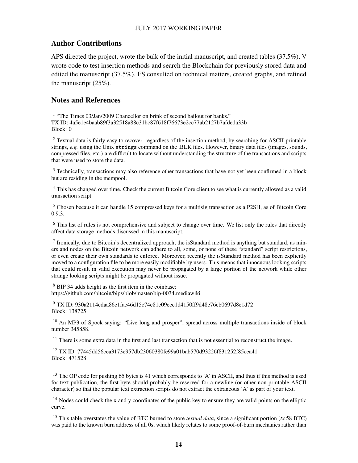# Author Contributions

APS directed the project, wrote the bulk of the initial manuscript, and created tables (37.5%), V wrote code to test insertion methods and search the Blockchain for previously stored data and edited the manuscript (37.5%). FS consulted on technical matters, created graphs, and refined the manuscript (25%).

# Notes and References

<sup>1</sup> "The Times 03/Jan/2009 Chancellor on brink of second bailout for banks." TX ID: 4a5e1e4baab89f3a32518a88c31bc87f618f76673e2cc77ab2127b7afdeda33b Block: 0

<sup>2</sup> Textual data is fairly easy to recover, regardless of the insertion method, by searching for ASCII-printable strings, *e.g.* using the Unix strings command on the .BLK files. However, binary data files (images, sounds, compressed files, etc.) are difficult to locate without understanding the structure of the transactions and scripts that were used to store the data.

<sup>3</sup> Technically, transactions may also reference other transactions that have not yet been confirmed in a block but are residing in the mempool.

<sup>4</sup> This has changed over time. Check the current Bitcoin Core client to see what is currently allowed as a valid transaction script.

<sup>5</sup> Chosen because it can handle 15 compressed keys for a multisig transaction as a P2SH, as of Bitcoin Core 0.9.3.

 $6$  This list of rules is not comprehensive and subject to change over time. We list only the rules that directly affect data storage methods discussed in this manuscript.

 $<sup>7</sup>$  Ironically, due to Bitcoin's decentralized approach, the isStandard method is anything but standard, as min-</sup> ers and nodes on the Bitcoin network can adhere to all, some, or none of these "standard" script restrictions, or even create their own standards to enforce. Moreover, recently the isStandard method has been explicitly moved to a configuration file to be more easily modifiable by users. This means that innocuous looking scripts that could result in valid execution may never be propagated by a large portion of the network while other strange looking scripts might be propagated without issue.

<sup>8</sup> BIP 34 adds height as the first item in the coinbase: https://github.com/bitcoin/bips/blob/master/bip-0034.mediawiki

<sup>9</sup> TX ID: 930a2114cdaa86e1fac46d15c74e81c09eee1d4150ff9d48e76cb0697d8e1d72 Block: 138725

<sup>10</sup> An MP3 of Spock saying: "Live long and prosper", spread across multiple transactions inside of block number 345858.

 $11$  There is some extra data in the first and last transaction that is not essential to reconstruct the image.

<sup>12</sup> TX ID: 77445dd56cea3173e957db23060380fe99a01bab570d93226f831252f85cea41 Block: 471528

<sup>13</sup> The OP code for pushing 65 bytes is 41 which corresponds to 'A' in ASCII, and thus if this method is used for text publication, the first byte should probably be reserved for a newline (or other non-printable ASCII character) so that the popular text extraction scripts do not extract the extraneous 'A' as part of your text.

<sup>14</sup> Nodes could check the x and y coordinates of the public key to ensure they are valid points on the elliptic curve.

<sup>15</sup> This table overstates the value of BTC burned to store *textual data*, since a significant portion ( $\approx$  58 BTC) was paid to the known burn address of all 0s, which likely relates to some proof-of-burn mechanics rather than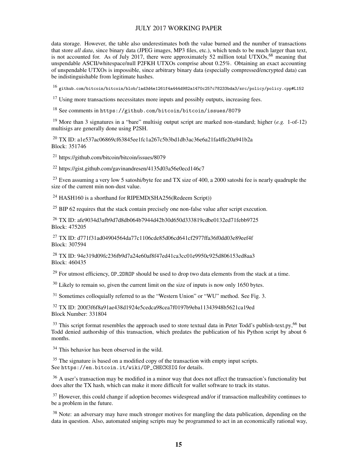data storage. However, the table also underestimates both the value burned and the number of transactions that store *all data*, since binary data (JPEG images, MP3 files, etc.), which tends to be much larger than text, is not accounted for. As of July 2017, there were approximately 52 million total UTXOs,  $68$  meaning that unspendable ASCII/whitespace/null P2FKH UTXOs comprise about 0.25%. Obtaining an exact accounting of unspendable UTXOs is impossible, since arbitrary binary data (especially compressed/encrypted data) can be indistinguishable from legitimate hashes.

<sup>16</sup> <github.com/bitcoin/bitcoin/blob/1ad3d4e1261f4a444d982a1470c257c78233bda3/src/policy/policy.cpp#L152>

 $17$  Using more transactions necessitates more inputs and possibly outputs, increasing fees.

<sup>18</sup> See comments in <https://github.com/bitcoin/bitcoin/issues/8079>

<sup>19</sup> More than 3 signatures in a "bare" multisig output script are marked non-standard; higher (*e.g.* 1-of-12) multisigs are generally done using P2SH.

<sup>20</sup> TX ID: a1e537ac06869cf63845ee1fc1a267c5b3bd1db3ac36e6a21fa4ffe20a941b2a Block: 351746

<sup>21</sup> https://github.com/bitcoin/bitcoin/issues/8079

 $^{22}$  https://gist.github.com/gavinandresen/4135d03a56e0ecd146c7

<sup>23</sup> Even assuming a very low 5 satoshi/byte fee and TX size of 400, a 2000 satoshi fee is nearly quadruple the size of the current min non-dust value.

<sup>24</sup> HASH160 is a shorthand for RIPEMD(SHA256(Redeem Script))

<sup>25</sup> BIP 62 requires that the stack contain precisely one non-false value after script execution.

<sup>26</sup> TX ID: afe9034d3afb9d7d8db064b7944d42b30d650d333819cdbe0132ed71febb9725 Block: 475205

<sup>27</sup> TX ID: d771f31ad04904564da77c1106cde85d06cd641cf2977ffa36f0dd03e89eef4f Block: 307594

<sup>28</sup> TX ID: 94e319d09fc236fb9d7a24e60af8f47ed41ca3cc01e9950c925d806153ed8aa3 Block: 460435

<sup>29</sup> For utmost efficiency, OP\_2DROP should be used to drop two data elements from the stack at a time.

 $30$  Likely to remain so, given the current limit on the size of inputs is now only 1650 bytes.

 $31$  Sometimes colloquially referred to as the "Western Union" or "WU" method. See Fig. [3.](#page-8-1)

<sup>32</sup> TX ID: 200f3f6f8a91ae438d1924e5cedca98cea7f0197b9eba11343948b5621ca19ed Block Number: 331804

 $33$  This script format resembles the approach used to store textual data in Peter Todd's publish-text.py,  $66$  but Todd denied authorship of this transaction, which predates the publication of his Python script by about 6 months.

<sup>34</sup> This behavior has been observed in the wild.

<sup>35</sup> The signature is based on a modified copy of the transaction with empty input scripts. See [https://en.bitcoin.it/wiki/OP\\_CHECKSIG](https://en.bitcoin.it/wiki/OP_CHECKSIG) for details.

<sup>36</sup> A user's transaction may be modified in a minor way that does not affect the transaction's functionality but does alter the TX hash, which can make it more difficult for wallet software to track its status.

 $37$  However, this could change if adoption becomes widespread and/or if transaction malleability continues to be a problem in the future.

<sup>38</sup> Note: an adversary may have much stronger motives for mangling the data publication, depending on the data in question. Also, automated sniping scripts may be programmed to act in an economically rational way,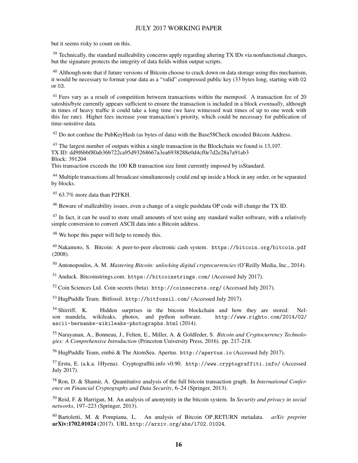but it seems risky to count on this.

<sup>39</sup> Technically, the standard malleability concerns apply regarding altering TX IDs via nonfunctional changes, but the signature protects the integrity of data fields within output scripts.

 $^{40}$  Although note that if future versions of Bitcoin choose to crack down on data storage using this mechanism, it would be necessary to format your data as a "valid" compressed public key (33 bytes long, starting with 02 or 03.

<sup>41</sup> Fees vary as a result of competition between transactions within the mempool. A transaction fee of 20 satoshis/byte currently appears sufficient to ensure the transaction is included in a block *eventually*, although in times of heavy traffic it could take a long time (we have witnessed wait times of up to one week with this fee rate). Higher fees increase your transaction's priority, which could be necessary for publication of time-sensitive data.

 $42$  Do not confuse the PubKeyHash (as bytes of data) with the Base58Check encoded Bitcoin Address.

 $43$  The largest number of outputs within a single transaction in the Blockchain we found is 13,107. TX ID: dd9f6bbf80ab36b722ca95d93268667a3ea6938288e0d4cf0e7d2e28a7a91ab3 Block: 391204

This transaction exceeds the 100 KB transaction size limit currently imposed by isStandard.

<sup>44</sup> Multiple transactions all broadcast simultaneously could end up inside a block in any order, or be separated by blocks.

 $45$  63.7% more data than P2FKH.

<sup>46</sup> Beware of malleability issues, even a change of a single pushdata OP code will change the TX ID.

 $47$  In fact, it can be used to store small amounts of text using any standard wallet software, with a relatively simple conversion to convert ASCII data into a Bitcoin address.

<sup>48</sup> We hope this paper will help to remedy this.

<span id="page-16-0"></span><sup>49</sup> Nakamoto, S. Bitcoin: A peer-to-peer electronic cash system. <https://bitcoin.org/bitcoin.pdf> (2008).

<span id="page-16-1"></span><sup>50</sup> Antonopoulos, A. M. *Mastering Bitcoin: unlocking digital cryptocurrencies* (O'Reilly Media, Inc., 2014).

<span id="page-16-2"></span><sup>51</sup> Anduck. Bitcoinstrings.com. <https://bitcoinstrings.com/> (Accessed July 2017).

 $52$  Coin Sciences Ltd. Coin secrets (beta). <http://coinsecrets.org/> (Accessed July 2017).

<span id="page-16-3"></span><sup>53</sup> HugPuddle Team. Bitfossil. <http://bitfossil.com/> (Accessed July 2017).

<span id="page-16-4"></span><sup>54</sup> Shirriff, K. Hidden surprises in the bitcoin blockchain and how they are stored: Nel-<br>son mandela, wikileaks, photos, and python software. http://www.righto.com/2014/02/ son mandela, wikileaks, photos, and python software. [ascii-bernanke-wikileaks-photographs.html](http://www.righto.com/2014/02/ascii-bernanke-wikileaks-photographs.html) (2014).

<span id="page-16-5"></span><sup>55</sup> Narayanan, A., Bonneau, J., Felten, E., Miller, A. & Goldfeder, S. *Bitcoin and Cryptocurrency Technologies: A Comprehensive Introduction* (Princeton University Press, 2016). pp. 217-218.

<span id="page-16-6"></span><sup>56</sup> HugPuddle Team, embii & The AtomSea. Apertus. <http://apertus.io> (Accessed July 2017).

<span id="page-16-7"></span><sup>57</sup> Erstu, E. (a.k.a. 1Hyena). Cryptograffiti.info v0.90. <http://www.cryptograffiti.info/> (Accessed July 2017).

<span id="page-16-8"></span><sup>58</sup> Ron, D. & Shamir, A. Quantitative analysis of the full bitcoin transaction graph. In *International Conference on Financial Cryptography and Data Security*, 6–24 (Springer, 2013).

<span id="page-16-9"></span><sup>59</sup> Reid, F. & Harrigan, M. An analysis of anonymity in the bitcoin system. In *Security and privacy in social networks*, 197–223 (Springer, 2013).

<span id="page-16-10"></span><sup>60</sup> Bartoletti, M. & Pompianu, L. An analysis of Bitcoin OP RETURN metadata. *arXiv preprint* arXiv:1702.01024 (2017). URL <http://arxiv.org/abs/1702.01024>.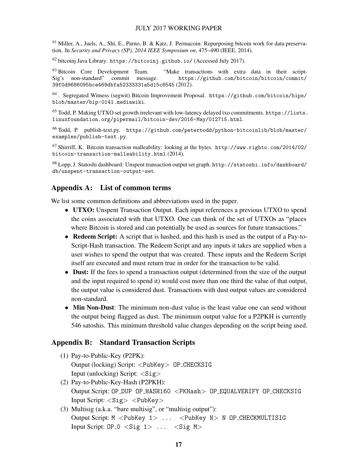<span id="page-17-0"></span> $61$  Miller, A., Juels, A., Shi, E., Parno, B. & Katz, J. Permacoin: Repurposing bitcoin work for data preservation. In *Security and Privacy (SP), 2014 IEEE Symposium on*, 475–490 (IEEE, 2014).

<span id="page-17-1"></span> $^{62}$  bitcoinj Java Library. <https://bitcoinj.github.io/> (Accessed July 2017).

<span id="page-17-2"></span> $63$  Bitcoin Core Development Team. "Make transactions with extra data in their scriptSig's non-standard" commit message. [https://github.com/bitcoin/bitcoin/commit/](https://github.com/bitcoin/bitcoin/commit/39f0d9686095bce469dbfa52333331a5d15c6545) [39f0d9686095bce469dbfa52333331a5d15c6545](https://github.com/bitcoin/bitcoin/commit/39f0d9686095bce469dbfa52333331a5d15c6545) (2012).

<span id="page-17-3"></span><sup>64</sup> . Segregated Witness (segwit) Bitcoin Improvement Proposal. [https://github.com/bitcoin/bips/](https://github.com/bitcoin/bips/blob/master/bip-0141.mediawiki) [blob/master/bip-0141.mediawiki](https://github.com/bitcoin/bips/blob/master/bip-0141.mediawiki).

<span id="page-17-4"></span> $^{65}$  Todd, P. Making UTXO set growth irrelevant with low-latency delayed txo commitments. [https://lists.](https://lists.linuxfoundation.org/pipermail/bitcoin-dev/2016-May/012715.html) [linuxfoundation.org/pipermail/bitcoin-dev/2016-May/012715.html](https://lists.linuxfoundation.org/pipermail/bitcoin-dev/2016-May/012715.html).

<span id="page-17-5"></span><sup>66</sup> Todd, P. publish-text.py. [https://github.com/petertodd/python-bitcoinlib/blob/master/](https://github.com/petertodd/python-bitcoinlib/blob/master/examples/publish-text.py) [examples/publish-text.py](https://github.com/petertodd/python-bitcoinlib/blob/master/examples/publish-text.py).

<span id="page-17-6"></span><sup>67</sup> Shirriff, K. Bitcoin transaction malleability: looking at the bytes. [http://www.righto.com/2014/02/](http://www.righto.com/2014/02/bitcoin-transaction-malleability.html) [bitcoin-transaction-malleability.html](http://www.righto.com/2014/02/bitcoin-transaction-malleability.html) (2014).

<span id="page-17-7"></span><sup>68</sup> Lopp, J. Statoshi dashboard: Unspent transaction output set graph. [http://statoshi.info/dashboard/](http://statoshi.info/dashboard/db/unspent-transaction-output-set) [db/unspent-transaction-output-set](http://statoshi.info/dashboard/db/unspent-transaction-output-set).

## Appendix A: List of common terms

We list some common definitions and abbreviations used in the paper.

- UTXO: Unspent Transaction Output. Each input references a previous UTXO to spend the coins associated with that UTXO. One can think of the set of UTXOs as "places where Bitcoin is stored and can potentially be used as sources for future transactions."
- Redeem Script: A script that is hashed, and this hash is used as the output of a Pay-to-Script-Hash transaction. The Redeem Script and any inputs it takes are supplied when a user wishes to spend the output that was created. These inputs and the Redeem Script itself are executed and must return true in order for the transaction to be valid.
- Dust: If the fees to spend a transaction output (determined from the size of the output and the input required to spend it) would cost more than one third the value of that output, the output value is considered dust. Transactions with dust output values are considered non-standard.
- Min Non-Dust: The minimum non-dust value is the least value one can send without the output being flagged as dust. The minimum output value for a P2PKH is currently 546 satoshis. This minimum threshold value changes depending on the script being used.

#### Appendix B: Standard Transaction Scripts

- (1) Pay-to-Public-Key (P2PK): Output (locking) Script: <PubKey> OP CHECKSIG Input (unlocking) Script:  $\langle$ Sig $\rangle$
- (2) Pay-to-Public-Key-Hash (P2PKH): Output Script: OP\_DUP OP\_HASH160 <PKHash> OP\_EQUALVERIFY OP\_CHECKSIG Input Script: <Sig> <PubKey>
- (3) Multisig (a.k.a. "bare multisig", or "multisig output"): Output Script: M <PubKey 1> ... <PubKey N> N OP CHECKMULTISIG Input Script:  $OP_0 <$ Sig  $1 > ... <$ Sig M $>$